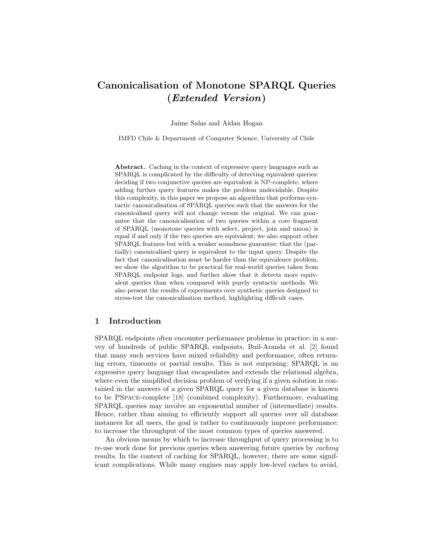# Canonicalisation of Monotone SPARQL Queries (Extended Version)

Jaime Salas and Aidan Hogan

IMFD Chile & Department of Computer Science, University of Chile

Abstract. Caching in the context of expressive query languages such as SPARQL is complicated by the difficulty of detecting equivalent queries: deciding if two conjunctive queries are equivalent is NP-complete, where adding further query features makes the problem undecidable. Despite this complexity, in this paper we propose an algorithm that performs syntactic canonicalisation of SPARQL queries such that the answers for the canonicalised query will not change versus the original. We can guarantee that the canonicalisation of two queries within a core fragment of SPARQL (monotone queries with select, project, join and union) is equal if and only if the two queries are equivalent; we also support other SPARQL features but with a weaker soundness guarantee: that the (partially) canonicalised query is equivalent to the input query. Despite the fact that canonicalisation must be harder than the equivalence problem, we show the algorithm to be practical for real-world queries taken from SPARQL endpoint logs, and further show that it detects more equivalent queries than when compared with purely syntactic methods. We also present the results of experiments over synthetic queries designed to stress-test the canonicalisation method, highlighting difficult cases.

### 1 Introduction

SPARQL endpoints often encounter performance problems in practice: in a survey of hundreds of public SPARQL endpoints, Buil-Aranda et al. [\[2\]](#page-14-0) found that many such services have mixed reliability and performance, often returning errors, timeouts or partial results. This is not surprising: SPARQL is an expressive query language that encapsulates and extends the relational algebra, where even the simplified decision problem of verifying if a given solution is contained in the answers of a given SPARQL query for a given database is known to be PSpace-complete [\[18\]](#page-15-0) (combined complexity). Furthermore, evaluating SPARQL queries may involve an exponential number of (intermediate) results. Hence, rather than aiming to efficiently support all queries over all database instances for all users, the goal is rather to continuously improve performance: to increase the throughput of the most common types of queries answered.

An obvious means by which to increase throughput of query processing is to re-use work done for previous queries when answering future queries by caching results. In the context of caching for SPARQL, however, there are some significant complications. While many engines may apply low-level caches to avoid,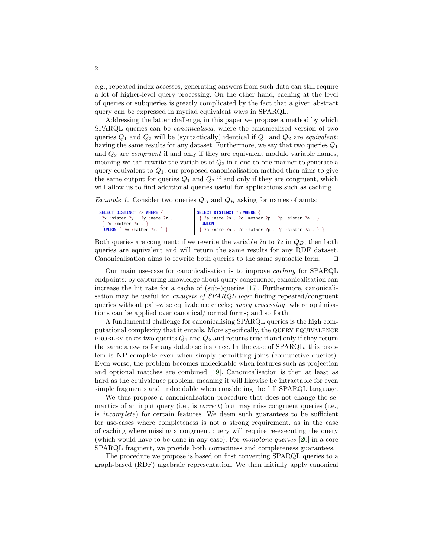e.g., repeated index accesses, generating answers from such data can still require a lot of higher-level query processing. On the other hand, caching at the level of queries or subqueries is greatly complicated by the fact that a given abstract query can be expressed in myriad equivalent ways in SPARQL.

Addressing the latter challenge, in this paper we propose a method by which SPARQL queries can be canonicalised, where the canonicalised version of two queries  $Q_1$  and  $Q_2$  will be (syntactically) identical if  $Q_1$  and  $Q_2$  are *equivalent*: having the same results for any dataset. Furthermore, we say that two queries  $Q_1$ and  $Q_2$  are *congruent* if and only if they are equivalent modulo variable names, meaning we can rewrite the variables of  $Q_2$  in a one-to-one manner to generate a query equivalent to  $Q_1$ ; our proposed canonicalisation method then aims to give the same output for queries  $Q_1$  and  $Q_2$  if and only if they are congruent, which will allow us to find additional queries useful for applications such as caching.

<span id="page-1-0"></span>*Example 1.* Consider two queries  $Q_A$  and  $Q_B$  asking for names of aunts:

| SELECT DISTINCT ?z WHERE {            | SELECT DISTINCT ?n WHERE {                                                                     |
|---------------------------------------|------------------------------------------------------------------------------------------------|
| $?x$ :sister $?y$ . $?y$ :name $?z$ . | $\begin{bmatrix} 2 & 3 \\ 4 & 3 \end{bmatrix}$ : name ?n . ?c : mother ?p . ?p : sister ?a . } |
| $\{ ?w : \text{mother } ?x \ . \}$    | <b>UNION</b>                                                                                   |
| UNION $\{ ?w : \text{father } ?x. \}$ | $\{ ?a : name ?n : ?c : father ?p : ?p : sister ?a : } \}$                                     |

Both queries are congruent: if we rewrite the variable ?n to ?z in  $Q_B$ , then both queries are equivalent and will return the same results for any RDF dataset. Canonicalisation aims to rewrite both queries to the same syntactic form.  $\Box$ 

Our main use-case for canonicalisation is to improve caching for SPARQL endpoints: by capturing knowledge about query congruence, canonicalisation can increase the hit rate for a cache of (sub-)queries [\[17\]](#page-15-1). Furthermore, canonicalisation may be useful for *analysis of SPARQL logs*: finding repeated/congruent queries without pair-wise equivalence checks; query processing: where optimisations can be applied over canonical/normal forms; and so forth.

A fundamental challenge for canonicalising SPARQL queries is the high computational complexity that it entails. More specifically, the query equivalence PROBLEM takes two queries  $Q_1$  and  $Q_2$  and returns true if and only if they return the same answers for any database instance. In the case of SPARQL, this problem is NP-complete even when simply permitting joins (conjunctive queries). Even worse, the problem becomes undecidable when features such as projection and optional matches are combined [\[19\]](#page-15-2). Canonicalisation is then at least as hard as the equivalence problem, meaning it will likewise be intractable for even simple fragments and undecidable when considering the full SPARQL language.

We thus propose a canonicalisation procedure that does not change the semantics of an input query (i.e., is *correct*) but may miss congruent queries (i.e., is incomplete) for certain features. We deem such guarantees to be sufficient for use-cases where completeness is not a strong requirement, as in the case of caching where missing a congruent query will require re-executing the query (which would have to be done in any case). For monotone queries [\[20\]](#page-15-3) in a core SPARQL fragment, we provide both correctness and completeness guarantees.

The procedure we propose is based on first converting SPARQL queries to a graph-based (RDF) algebraic representation. We then initially apply canonical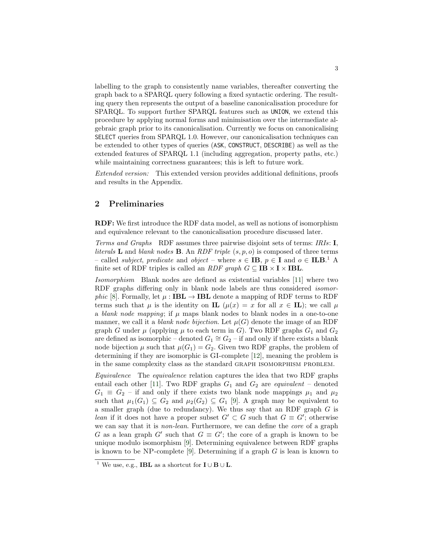labelling to the graph to consistently name variables, thereafter converting the graph back to a SPARQL query following a fixed syntactic ordering. The resulting query then represents the output of a baseline canonicalisation procedure for SPARQL. To support further SPARQL features such as UNION, we extend this procedure by applying normal forms and minimisation over the intermediate algebraic graph prior to its canonicalisation. Currently we focus on canonicalising SELECT queries from SPARQL 1.0. However, our canonicalisation techniques can be extended to other types of queries (ASK, CONSTRUCT, DESCRIBE) as well as the extended features of SPARQL 1.1 (including aggregation, property paths, etc.) while maintaining correctness guarantees; this is left to future work.

Extended version: This extended version provides additional definitions, proofs and results in the Appendix.

### 2 Preliminaries

RDF: We first introduce the RDF data model, as well as notions of isomorphism and equivalence relevant to the canonicalisation procedure discussed later.

Terms and Graphs RDF assumes three pairwise disjoint sets of terms: IRIs: I, literals **L** and blank nodes **B**. An RDF triple  $(s, p, o)$  is composed of three terms – called *subject*, predicate and object – where  $s \in \mathbf{IB}$ ,  $p \in \mathbf{I}$  and  $o \in \mathbf{ILB}$ <sup>[1](#page-2-0)</sup>. A finite set of RDF triples is called an  $RDF$  graph  $G \subseteq \mathbf{IB} \times \mathbf{I} \times \mathbf{IBL}$ .

Isomorphism Blank nodes are defined as existential variables [\[11\]](#page-15-4) where two RDF graphs differing only in blank node labels are thus considered isomor-phic [\[8\]](#page-15-5). Formally, let  $\mu : IBL \rightarrow IBL$  denote a mapping of RDF terms to RDF terms such that  $\mu$  is the identity on **IL**  $(\mu(x) = x$  for all  $x \in$  **IL**); we call  $\mu$ a blank node mapping; if  $\mu$  maps blank nodes to blank nodes in a one-to-one manner, we call it a *blank node bijection*. Let  $\mu(G)$  denote the image of an RDF graph G under  $\mu$  (applying  $\mu$  to each term in G). Two RDF graphs  $G_1$  and  $G_2$ are defined as isomorphic – denoted  $G_1 \cong G_2$  – if and only if there exists a blank node bijection  $\mu$  such that  $\mu(G_1) = G_2$ . Given two RDF graphs, the problem of determining if they are isomorphic is GI-complete [\[12\]](#page-15-6), meaning the problem is in the same complexity class as the standard graph isomorphism problem.

Equivalence The equivalence relation captures the idea that two RDF graphs entail each other [\[11\]](#page-15-4). Two RDF graphs  $G_1$  and  $G_2$  are *equivalent* – denoted  $G_1 \equiv G_2$  – if and only if there exists two blank node mappings  $\mu_1$  and  $\mu_2$ such that  $\mu_1(G_1) \subseteq G_2$  and  $\mu_2(G_2) \subseteq G_1$  [\[9\]](#page-15-7). A graph may be equivalent to a smaller graph (due to redundancy). We thus say that an RDF graph G is lean if it does not have a proper subset  $G' \subset G$  such that  $G \equiv G'$ ; otherwise we can say that it is *non-lean*. Furthermore, we can define the *core* of a graph G as a lean graph G' such that  $G \equiv G'$ ; the core of a graph is known to be unique modulo isomorphism [\[9\]](#page-15-7). Determining equivalence between RDF graphs is known to be NP-complete [\[9\]](#page-15-7). Determining if a graph  $G$  is lean is known to

<span id="page-2-0"></span><sup>&</sup>lt;sup>1</sup> We use, e.g., **IBL** as a shortcut for  $I \cup B \cup L$ .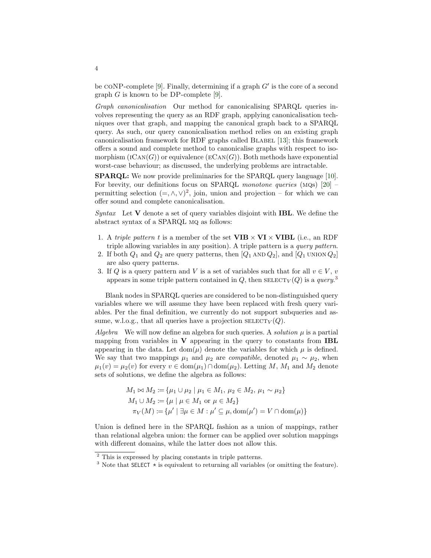be CONP-complete [\[9\]](#page-15-7). Finally, determining if a graph  $G'$  is the core of a second graph  $G$  is known to be DP-complete [\[9\]](#page-15-7).

Graph canonicalisation Our method for canonicalising SPARQL queries involves representing the query as an RDF graph, applying canonicalisation techniques over that graph, and mapping the canonical graph back to a SPARQL query. As such, our query canonicalisation method relies on an existing graph canonicalisation framework for RDF graphs called BLABEL [\[13\]](#page-15-8); this framework offers a sound and complete method to canonicalise graphs with respect to isomorphism  $(ICAN(G))$  or equivalence  $(ECAN(G))$ . Both methods have exponential worst-case behaviour; as discussed, the underlying problems are intractable.

SPARQL: We now provide preliminaries for the SPARQL query language [\[10\]](#page-15-9). For brevity, our definitions focus on SPARQL monotone queries  $(MQS)$  [\[20\]](#page-15-3) – permitting selection  $(=, \wedge, \vee)^2$  $(=, \wedge, \vee)^2$ , join, union and projection – for which we can offer sound and complete canonicalisation.

 $Syntax$  Let V denote a set of query variables disjoint with **IBL**. We define the abstract syntax of a SPARQL mq as follows:

- 1. A triple pattern t is a member of the set  $VIB \times VI \times VIBL$  (i.e., an RDF triple allowing variables in any position). A triple pattern is a query pattern.
- 2. If both  $Q_1$  and  $Q_2$  are query patterns, then  $[Q_1$  AND  $Q_2]$ , and  $[Q_1$  UNION  $Q_2]$ are also query patterns.
- 3. If Q is a query pattern and V is a set of variables such that for all  $v \in V$ , v appears in some triple pattern contained in  $Q$ , then  $\text{SELECT}_V(Q)$  is a query.<sup>[3](#page-3-1)</sup>

Blank nodes in SPARQL queries are considered to be non-distinguished query variables where we will assume they have been replaced with fresh query variables. Per the final definition, we currently do not support subqueries and assume, w.l.o.g., that all queries have a projection  $\text{SELECT}_V (Q)$ .

Algebra We will now define an algebra for such queries. A *solution*  $\mu$  is a partial mapping from variables in  $V$  appearing in the query to constants from **IBL** appearing in the data. Let dom( $\mu$ ) denote the variables for which  $\mu$  is defined. We say that two mappings  $\mu_1$  and  $\mu_2$  are *compatible*, denoted  $\mu_1 \sim \mu_2$ , when  $\mu_1(v) = \mu_2(v)$  for every  $v \in \text{dom}(\mu_1) \cap \text{dom}(\mu_2)$ . Letting M, M<sub>1</sub> and M<sub>2</sub> denote sets of solutions, we define the algebra as follows:

$$
M_1 \bowtie M_2 := \{ \mu_1 \cup \mu_2 \mid \mu_1 \in M_1, \mu_2 \in M_2, \mu_1 \sim \mu_2 \}
$$
  

$$
M_1 \cup M_2 := \{ \mu \mid \mu \in M_1 \text{ or } \mu \in M_2 \}
$$
  

$$
\pi_V(M) := \{ \mu' \mid \exists \mu \in M : \mu' \subseteq \mu, \text{dom}(\mu') = V \cap \text{dom}(\mu) \}
$$

Union is defined here in the SPARQL fashion as a union of mappings, rather than relational algebra union: the former can be applied over solution mappings with different domains, while the latter does not allow this.

<span id="page-3-0"></span><sup>2</sup> This is expressed by placing constants in triple patterns.

<span id="page-3-1"></span><sup>&</sup>lt;sup>3</sup> Note that SELECT  $\star$  is equivalent to returning all variables (or omitting the feature).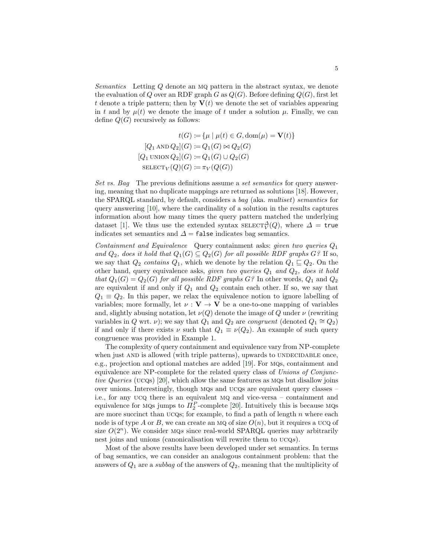Semantics Letting Q denote an mq pattern in the abstract syntax, we denote the evaluation of Q over an RDF graph G as  $Q(G)$ . Before defining  $Q(G)$ , first let t denote a triple pattern; then by  $V(t)$  we denote the set of variables appearing in t and by  $\mu(t)$  we denote the image of t under a solution  $\mu$ . Finally, we can define  $Q(G)$  recursively as follows:

$$
t(G) := \{ \mu \mid \mu(t) \in G, \text{dom}(\mu) = \mathbf{V}(t) \}
$$

$$
[Q_1 \text{ AND } Q_2](G) := Q_1(G) \bowtie Q_2(G)
$$

$$
[Q_1 \text{ UNION } Q_2](G) := Q_1(G) \cup Q_2(G)
$$

$$
\text{SELECT}_V(Q)(G) := \pi_V(Q(G))
$$

Set vs. Bag The previous definitions assume a set semantics for query answering, meaning that no duplicate mappings are returned as solutions [\[18\]](#page-15-0). However, the SPARQL standard, by default, considers a bag (aka. multiset) semantics for query answering [\[10\]](#page-15-9), where the cardinality of a solution in the results captures information about how many times the query pattern matched the underlying dataset [\[1\]](#page-14-1). We thus use the extended syntax  $\text{SELECT}_{V}^{\Delta}(Q)$ , where  $\Delta = \text{true}$ indicates set semantics and  $\Delta$  = false indicates bag semantics.

Containment and Equivalence Query containment asks: given two queries  $Q_1$ and  $Q_2$ , does it hold that  $Q_1(G) \subseteq Q_2(G)$  for all possible RDF graphs  $G$ ? If so, we say that  $Q_2$  contains  $Q_1$ , which we denote by the relation  $Q_1 \sqsubseteq Q_2$ . On the other hand, query equivalence asks, given two queries  $Q_1$  and  $Q_2$ , does it hold that  $Q_1(G) = Q_2(G)$  for all possible RDF graphs G? In other words,  $Q_1$  and  $Q_2$ are equivalent if and only if  $Q_1$  and  $Q_2$  contain each other. If so, we say that  $Q_1 \equiv Q_2$ . In this paper, we relax the equivalence notion to ignore labelling of variables; more formally, let  $\nu : V \to V$  be a one-to-one mapping of variables and, slightly abusing notation, let  $\nu(Q)$  denote the image of Q under  $\nu$  (rewriting variables in Q wrt.  $\nu$ ); we say that  $Q_1$  and  $Q_2$  are *congruent* (denoted  $Q_1 \cong Q_2$ ) if and only if there exists  $\nu$  such that  $Q_1 \equiv \nu(Q_2)$ . An example of such query congruence was provided in Example [1.](#page-1-0)

The complexity of query containment and equivalence vary from NP-complete when just AND is allowed (with triple patterns), upwards to UNDECIDABLE once, e.g., projection and optional matches are added [\[19\]](#page-15-2). For mqs, containment and equivalence are NP-complete for the related query class of Unions of Conjunctive Queries (ucqs) [\[20\]](#page-15-3), which allow the same features as mqs but disallow joins over unions. Interestingly, though MQs and UCQs are equivalent query classes  $$ i.e., for any ucq there is an equivalent mq and vice-versa – containment and equivalence for MQs jumps to  $\Pi_2^P$ -complete [\[20\]](#page-15-3). Intuitively this is because MQs are more succinct than  $UCQs$ ; for example, to find a path of length n where each node is of type A or B, we can create an MQ of size  $O(n)$ , but it requires a UCQ of size  $O(2^n)$ . We consider MQs since real-world SPARQL queries may arbitrarily nest joins and unions (canonicalisation will rewrite them to  $UCQs$ ).

Most of the above results have been developed under set semantics. In terms of bag semantics, we can consider an analogous containment problem: that the answers of  $Q_1$  are a subbag of the answers of  $Q_2$ , meaning that the multiplicity of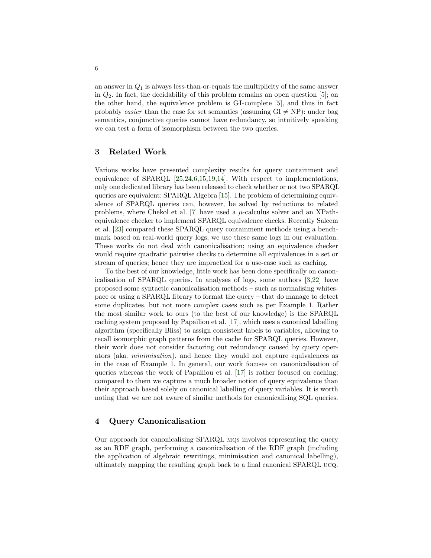an answer in  $Q_1$  is always less-than-or-equals the multiplicity of the same answer in  $Q_2$ . In fact, the decidability of this problem remains an open question [\[5\]](#page-15-10); on the other hand, the equivalence problem is GI-complete [\[5\]](#page-15-10), and thus in fact probably easier than the case for set semantics (assuming  $GI \neq NP$ ): under bag semantics, conjunctive queries cannot have redundancy, so intuitively speaking we can test a form of isomorphism between the two queries.

### 3 Related Work

Various works have presented complexity results for query containment and equivalence of SPARQL [\[25,](#page-15-11)[24,](#page-15-12)[6](#page-15-13)[,15,](#page-15-14)[19,](#page-15-2)[14\]](#page-15-15). With respect to implementations, only one dedicated library has been released to check whether or not two SPARQL queries are equivalent: SPARQL Algebra [\[15\]](#page-15-14). The problem of determining equivalence of SPARQL queries can, however, be solved by reductions to related problems, where Chekol et al. [\[7\]](#page-15-16) have used a  $\mu$ -calculus solver and an XPathequivalence checker to implement SPARQL equivalence checks. Recently Saleem et al. [\[23\]](#page-15-17) compared these SPARQL query containment methods using a benchmark based on real-world query logs; we use these same logs in our evaluation. These works do not deal with canonicalisation; using an equivalence checker would require quadratic pairwise checks to determine all equivalences in a set or stream of queries; hence they are impractical for a use-case such as caching.

To the best of our knowledge, little work has been done specifically on canonicalisation of SPARQL queries. In analyses of logs, some authors [\[3,](#page-14-2)[22\]](#page-15-18) have proposed some syntactic canonicalisation methods – such as normalising whitespace or using a SPARQL library to format the query – that do manage to detect some duplicates, but not more complex cases such as per Example [1.](#page-1-0) Rather the most similar work to ours (to the best of our knowledge) is the SPARQL caching system proposed by Papailiou et al. [\[17\]](#page-15-1), which uses a canonical labelling algorithm (specifically Bliss) to assign consistent labels to variables, allowing to recall isomorphic graph patterns from the cache for SPARQL queries. However, their work does not consider factoring out redundancy caused by query operators (aka. minimisation), and hence they would not capture equivalences as in the case of Example [1.](#page-1-0) In general, our work focuses on canonicalisation of queries whereas the work of Papailiou et al. [\[17\]](#page-15-1) is rather focused on caching; compared to them we capture a much broader notion of query equivalence than their approach based solely on canonical labelling of query variables. It is worth noting that we are not aware of similar methods for canonicalising SQL queries.

#### 4 Query Canonicalisation

Our approach for canonicalising SPARQL mqs involves representing the query as an RDF graph, performing a canonicalisation of the RDF graph (including the application of algebraic rewritings, minimisation and canonical labelling), ultimately mapping the resulting graph back to a final canonical SPARQL ucq.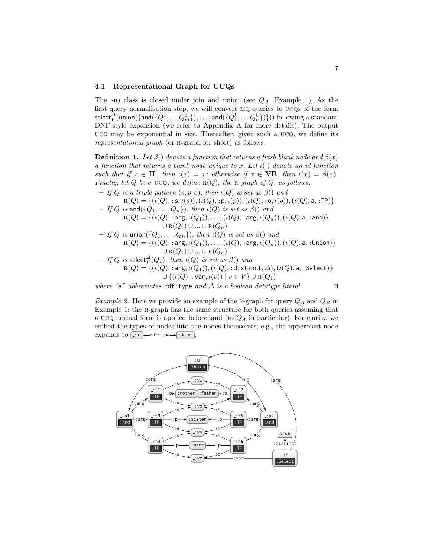#### 4.1 Representational Graph for UCQs

The MQ class is closed under join and union (see  $Q_A$ , Example [1\)](#page-1-0). As the first query normalisation step, we will convert mq queries to ucqs of the form  $\mathsf{select}^{\overline{\Delta}}_V(\mathsf{union}(\{\mathsf{and}(\{Q_1^1,\ldots Q_m^1\}),\ldots,\mathsf{and}(\{Q_1^k,\ldots Q_n^k\})\}))$  following a standard DNF-style expansion (we refer to Appendix [A](#page-16-0) for more details). The output ucq may be exponential in size. Thereafter, given such a ucq, we define its representational graph (or R-graph for short) as follows.

<span id="page-6-0"></span>**Definition 1.** Let  $\beta$ () denote a function that returns a fresh blank node and  $\beta$ (x) a function that returns a blank node unique to x. Let  $\iota(\cdot)$  denote an id function such that if  $x \in \mathbf{IL}$ , then  $\iota(x) = x$ ; otherwise if  $x \in \mathbf{VB}$ , then  $\iota(x) = \beta(x)$ . Finally, let Q be a UCQ; we define  $R(Q)$ , the R-graph of Q, as follows:

– If Q is a triple pattern  $(s, p, o)$ , then  $\iota(Q)$  is set as  $\beta()$  and

$$
R(Q) = \{ (\iota(Q), \, : \, s, \iota(s)), (\iota(Q), \, : \, p, \iota(p)), (\iota(Q), \, : \, o, \iota(o)), (\iota(Q), \, a, \, : \, \text{TP}) \} - \text{If } Q \text{ is and } (\{Q_1, \ldots, Q_n\}), \text{ then } \iota(Q) \text{ is set as } \beta() \text{ and}
$$

- $R(Q) = \{(\iota(Q), : \text{arg}, \iota(Q_1)), \ldots, (\iota(Q), : \text{arg}, \iota(Q_n)),(\iota(Q), \text{a}, : \text{And})\}$  $\cup R(Q_1) \cup ... \cup R(Q_n)$
- If Q is union( $\{Q_1, \ldots, Q_n\}$ ), then  $\iota(Q)$  is set as  $\beta()$  and  $R(Q) = \{(\iota(Q),: \mathsf{arg}, \iota(Q_1)), \ldots, (\iota(Q),: \mathsf{arg}, \iota(Q_n)),(\iota(Q),\mathsf{a},:\mathsf{Union})\}$  $\cup$   ${\bf R}(Q_1)$   $\cup$   $\ldots$   $\cup$   ${\bf R}(Q_n)$
- $-$  If  $Q$  is select $^{\Delta}_V(Q_1),$  then  $\iota(Q)$  is set as  $\beta()$  and  $\textup{r}_\textup{R}(Q) = \{(\iota(Q),\, \textup{arg},\iota(Q_1)),(\iota(Q),\, \textup{distinct},\varDelta),(\iota(Q),\textup{a},\, \textup{select})\}$  $\overline{\cup}$   $\{(\iota(Q), {\tt :var}, \iota(v)) \mid v \in V\} \cup {\tt R}(Q_1)$

where "a" abbreviates rdf:type and  $\Delta$  is a boolean datatype literal.  $\square$ 

*Example 2.* Here we provide an example of the R-graph for query  $Q_A$  and  $Q_B$  in Example [1:](#page-1-0) the r-graph has the same structure for both queries assuming that a UCQ normal form is applied beforehand (to  $Q_A$  in particular). For clarity, we embed the types of nodes into the nodes themselves; e.g., the uppermost node expands to  $[:u]$  -rdf:type  $\rightarrow$  :Union

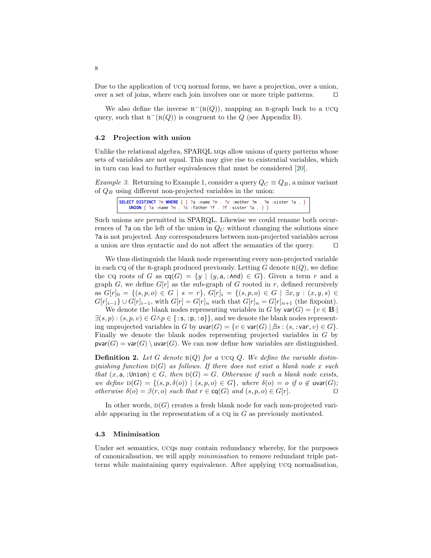Due to the application of ucq normal forms, we have a projection, over a union, over a set of joins, where each join involves one or more triple patterns.  $\square$ 

We also define the inverse  $R^{-}(R(Q))$ , mapping an R-graph back to a UCQ query, such that  $R^{-}(R(Q))$  is congruent to the Q (see Appendix [B\)](#page-18-0).

#### <span id="page-7-0"></span>4.2 Projection with union

Unlike the relational algebra, SPARQL MQs allow unions of query patterns whose sets of variables are not equal. This may give rise to existential variables, which in turn can lead to further equivalences that must be considered [\[20\]](#page-15-3).

Example 3. Returning to Example [1,](#page-1-0) consider a query  $Q_C \equiv Q_B$ , a minor variant of  $Q_B$  using different non-projected variables in the union:

```
SELECT DISTINCT ?n WHERE { { ?a :name ?n . ?c :mother ?m . ?m :sister ?a . }
   UNION { ?a :name ?n . ?c :father ?f . ?f :sister ?a . } }
```
Such unions are permitted in SPARQL. Likewise we could rename both occurrences of ?a on the left of the union in  $Q_C$  without changing the solutions since ?a is not projected. Any correspondences between non-projected variables across a union are thus syntactic and do not affect the semantics of the query.  $\Box$ 

We thus distinguish the blank node representing every non-projected variable in each CQ of the R-graph produced previously. Letting G denote  $R(Q)$ , we define the cq roots of G as  $cq(G) = \{y \mid (y, a, : And) \in G\}$ . Given a term r and a graph G, we define  $G[r]$  as the sub-graph of G rooted in r, defined recursively as  $G[r]_0 = \{(s, p, o) \in G | s = r\}, G[r]_i = \{(s, p, o) \in G | \exists x, y : (x, y, s) \in G\}$  $G[r]_{i-1}$  ∪  $G[r]_{i-1}$ , with  $G[r] = G[r]_n$  such that  $G[r]_n = G[r]_{n+1}$  (the fixpoint).

We denote the blank nodes representing variables in G by  $\text{var}(G) = \{v \in \mathbf{B} \mid \mathcal{E}\}$  $\exists (s, p) : (s, p, v) \in G \land p \in \{ \text{:s, :p, :o \} \},$  and we denote the blank nodes representing unprojected variables in G by  $\mathsf{uvar}(G) = \{v \in \mathsf{var}(G) \mid \exists s : (s, : \mathsf{var}, v) \in G\}.$ Finally we denote the blank nodes representing projected variables in G by  $\textsf{pvar}(G) = \textsf{var}(G) \setminus \textsf{uvar}(G)$ . We can now define how variables are distinguished.

**Definition 2.** Let G denote  $R(Q)$  for a UCQ Q. We define the variable distinquishing function  $D(G)$  as follows. If there does not exist a blank node x such that  $(x, a)$ , :Union)  $\in G$ , then  $D(G) = G$ . Otherwise if such a blank node exists, we define  $D(G) = \{(s, p, \delta(o)) \mid (s, p, o) \in G\}$ , where  $\delta(o) = o$  if  $o \notin \text{uvar}(G)$ ; otherwise  $\delta(o) = \beta(r, o)$  such that  $r \in \text{cq}(G)$  and  $(s, p, o) \in G[r]$ .

In other words,  $D(G)$  creates a fresh blank node for each non-projected variable appearing in the representation of a  $CQ$  in  $G$  as previously motivated.

#### 4.3 Minimisation

Under set semantics, UCQs may contain redundancy whereby, for the purposes of canonicalisation, we will apply minimisation to remove redundant triple patterns while maintaining query equivalence. After applying ucq normalisation,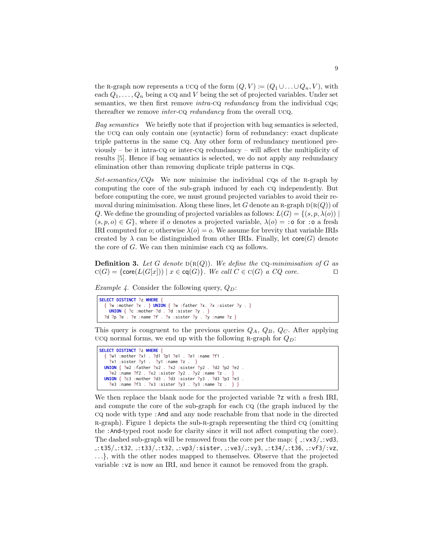the R-graph now represents a  $\text{UCQ}$  of the form  $(Q, V) := (Q_1 \cup \ldots \cup Q_n, V)$ , with each  $Q_1, \ldots, Q_n$  being a  $CQ$  and V being the set of projected variables. Under set semantics, we then first remove *intra-cq redundancy* from the individual cqs; thereafter we remove *inter-co redundancy* from the overall UCQ.

Bag semantics We briefly note that if projection with bag semantics is selected, the ucq can only contain one (syntactic) form of redundancy: exact duplicate triple patterns in the same cq. Any other form of redundancy mentioned previously – be it intra-cq or inter-cq redundancy – will affect the multiplicity of results [\[5\]](#page-15-10). Hence if bag semantics is selected, we do not apply any redundancy elimination other than removing duplicate triple patterns in cqs.

 $Set-semantics/CQs$  We now minimise the individual CQs of the R-graph by computing the core of the sub-graph induced by each cq independently. But before computing the core, we must ground projected variables to avoid their removal during minimisation. Along these lines, let G denote an R-graph  $D(R(Q))$  of Q. We define the grounding of projected variables as follows:  $L(G) = \{(s, p, \lambda(o))\}$  $(s, p, o) \in G$ , where if o denotes a projected variable,  $\lambda(o) = :$ o for :o a fresh IRI computed for *o*; otherwise  $\lambda(o) = o$ . We assume for brevity that variable IRIs created by  $\lambda$  can be distinguished from other IRIs. Finally, let  $\mathsf{core}(G)$  denote the core of G. We can then minimise each cq as follows.

**Definition 3.** Let G denote  $D(R(Q))$ . We define the CQ-minimisation of G as  $c(G) = \{ \text{core}(L(G[x])) \mid x \in \text{cq}(G) \}.$  We call  $C \in c(G)$  a  $CQ$  core.

<span id="page-8-0"></span>*Example 4.* Consider the following query,  $Q_D$ :

```
SELECT DISTINCT ?z WHERE {
    { ?w :mother ?x . } UNION { ?w :father ?x. ?x :sister ?y . }
   UNION { ?c :mother ?d . ?d :sister ?y . }
  ?d ?p ?e . ?e :name ?f . ?x :sister ?y . ?y :name ?z }
```
This query is congruent to the previous queries  $Q_A$ ,  $Q_B$ ,  $Q_C$ . After applying ucq normal forms, we end up with the following R-graph for  $Q_D$ :

```
SELECT DISTINCT ?z WHERE {
  { ?w1 :mother ?x1 . ?d1 ?p1 ?e1 . ?e1 :name ?f1 .
  ?x1 :sister ?y1 . ?y1 :name ?z . }
UNION { ?w2 :father ?x2 . ?x2 :sister ?y2 . ?d2 ?p2 ?e2 .
    ?e2 :name ?f2 . ?x2 :sister ?y2 . ?y2 :name ?z . }
 UNION { ?c3 :mother ?d3 . ?d3 :sister ?y3 . ?d3 ?p3 ?e3
    ?e3 :name ?f3 . ?x3 :sister ?y3 . ?y3 :name ?z . } }
```
We then replace the blank node for the projected variable ?z with a fresh IRI, and compute the core of the sub-graph for each cq (the graph induced by the cq node with type :And and any node reachable from that node in the directed r-graph). Figure [1](#page-9-0) depicts the sub-r-graph representing the third cq (omitting the :And-typed root node for clarity since it will not affect computing the core). The dashed sub-graph will be removed from the core per the map:  $\{-\cdot yx3/\cdot yd3,\cdot\}$  $2:135/$ :t32,  $2:133/$ :t32,  $2:137/$ :sister,  $2:134/$ :vy3,  $2:134/$ :t36,  $2:137/$ :vz, ...}, with the other nodes mapped to themselves. Observe that the projected variable :vz is now an IRI, and hence it cannot be removed from the graph.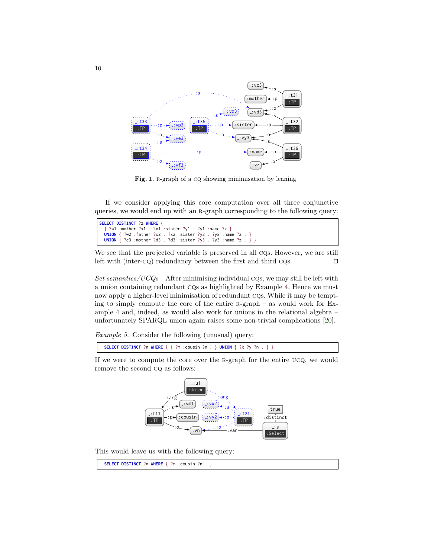

<span id="page-9-0"></span>Fig. 1. R-graph of a CQ showing minimisation by leaning

If we consider applying this core computation over all three conjunctive queries, we would end up with an r-graph corresponding to the following query:

| SELECT DISTINCT ?z WHERE {                                                |  |
|---------------------------------------------------------------------------|--|
| { ?w1 :mother ?x1 . ?x1 :sister ?y1 . ?y1 :name ?z }                      |  |
| UNION $\{ ?w2 : father ?x2 : ?x2 : sister ?y2 : ?y2 :name ?z : } \}$      |  |
| <b>UNION</b> $\{ ?c3 : mother ?d3 : 3 : sister ?y3 : ?y3 :name ?z : } \}$ |  |

We see that the projected variable is preserved in all CQs. However, we are still left with (inter-cq) redundancy between the first and third cqs.  $\square$ 

Set semantics/UCQs After minimising individual cqs, we may still be left with a union containing redundant cqs as highlighted by Example [4.](#page-8-0) Hence we must now apply a higher-level minimisation of redundant cqs. While it may be tempting to simply compute the core of the entire  $R$ -graph – as would work for Example [4](#page-8-0) and, indeed, as would also work for unions in the relational algebra – unfortunately SPARQL union again raises some non-trivial complications [\[20\]](#page-15-3).

Example 5. Consider the following (unusual) query:

**SELECT DISTINCT** ?n **WHERE** { { ?m :cousin ?n . } **UNION** { ?x ?y ?n . } }

If we were to compute the core over the R-graph for the entire UCQ, we would remove the second cq as follows:



This would leave us with the following query:

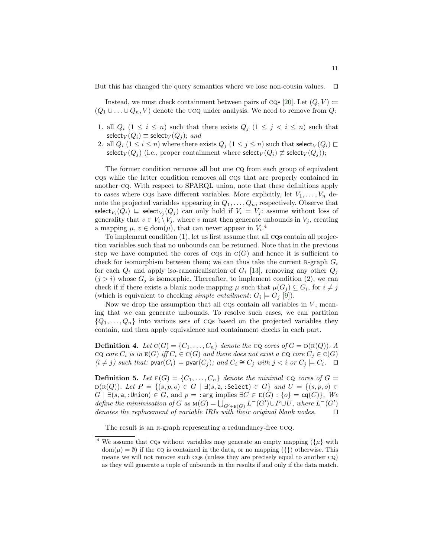But this has changed the query semantics where we lose non-cousin values.  $\square$ 

Instead, we must check containment between pairs of CQs [\[20\]](#page-15-3). Let  $(Q, V) :=$  $(Q_1 \cup \ldots \cup Q_n, V)$  denote the UCQ under analysis. We need to remove from Q:

- 1. all  $Q_i$   $(1 \leq i \leq n)$  such that there exists  $Q_j$   $(1 \leq j \leq i \leq n)$  such that select<sub>V</sub> $(Q_i) \equiv$  select<sub>V</sub> $(Q_i)$ ; and
- 2. all  $Q_i$   $(1 \leq i \leq n)$  where there exists  $Q_i$   $(1 \leq j \leq n)$  such that select $V(Q_i) \sqsubset$ select<sub>V</sub>( $Q_i$ ) (i.e., proper containment where select<sub>V</sub>( $Q_i$ )  $\not\equiv$  select<sub>V</sub>( $Q_i$ ));

The former condition removes all but one cq from each group of equivalent cqs while the latter condition removes all cqs that are properly contained in another cq. With respect to SPARQL union, note that these definitions apply to cases where cqs have different variables. More explicitly, let  $V_1, \ldots, V_n$  denote the projected variables appearing in  $Q_1, \ldots, Q_n$ , respectively. Observe that select $_{V_i}(Q_i) \sqsubseteq$  select $_{V_j}(Q_j)$  can only hold if  $V_i = V_j$ : assume without loss of generality that  $v \in V_i \setminus V_j$ , where v must then generate unbounds in  $V_j$ , creating a mapping  $\mu, v \in \text{dom}(\mu)$ , that can never appear in  $V_i$ .<sup>[4](#page-10-0)</sup>

To implement condition (1), let us first assume that all cqs contain all projection variables such that no unbounds can be returned. Note that in the previous step we have computed the cores of  $CQs$  in  $C(G)$  and hence it is sufficient to check for isomorphism between them; we can thus take the current R-graph  $G_i$ for each  $Q_i$  and apply iso-canonicalisation of  $G_i$  [\[13\]](#page-15-8), removing any other  $Q_j$  $(j > i)$  whose  $G_j$  is isomorphic. Thereafter, to implement condition (2), we can check if if there exists a blank node mapping  $\mu$  such that  $\mu(G_j) \subseteq G_i$ , for  $i \neq j$ (which is equivalent to checking *simple entailment*:  $G_i \models G_j$  [\[9\]](#page-15-7)).

Now we drop the assumption that all cqs contain all variables in  $V$ , meaning that we can generate unbounds. To resolve such cases, we can partition  ${Q_1, \ldots, Q_n}$  into various sets of cos based on the projected variables they contain, and then apply equivalence and containment checks in each part.

**Definition 4.** Let  $C(G) = \{C_1, \ldots, C_n\}$  denote the CQ cores of  $G = D(R(Q))$ . A cq core  $C_i$  is in  $E(G)$  iff  $C_i \in C(G)$  and there does not exist a cq core  $C_j \in C(G)$  $(i \neq j)$  such that:  $\textsf{pvar}(C_i) = \textsf{pvar}(C_j)$ ; and  $C_i \cong C_j$  with  $j < i$  or  $C_j \models C_i$ .

**Definition 5.** Let  $E(G) = \{C_1, \ldots, C_n\}$  denote the minimal  $CQ$  cores of  $G =$  $D(R(Q))$ . Let  $P = \{(s, p, o) \in G \mid \exists (s, a, : \text{Select}) \in G\}$  and  $U = \{(s, p, o) \in G\}$  $G \mid \exists (s, a, :$ Union)  $\in G$ , and  $p = :$ arg implies  $\exists C \in E(G) : \{o\} = \text{cq}(C)\}.$  We define the minimisation of G as  $M(G) = \bigcup_{G' \in E(G)} L^-(G') \cup P \cup U$ , where  $L^-(G')$ denotes the replacement of variable IRIs with their original blank nodes.  $\square$ 

The result is an R-graph representing a redundancy-free UCQ.

<span id="page-10-0"></span> $^4$  We assume that cqs without variables may generate an empty mapping ({ $\mu$ } with  $dom(\mu) = \emptyset$  if the CQ is contained in the data, or no mapping  $({})$  otherwise. This means we will not remove such cqs (unless they are precisely equal to another cq) as they will generate a tuple of unbounds in the results if and only if the data match.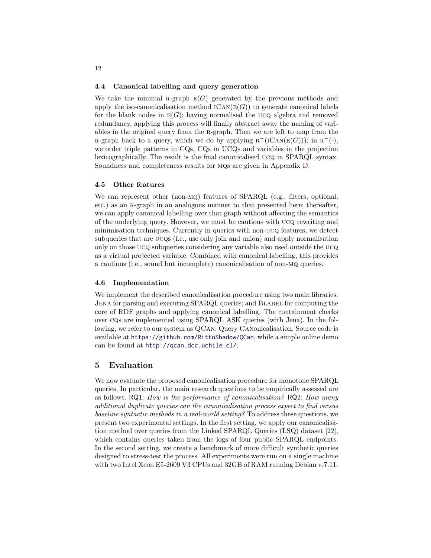#### 4.4 Canonical labelling and query generation

We take the minimal R-graph  $E(G)$  generated by the previous methods and apply the iso-canonicalisation method  $ICAN(E(G))$  to generate canonical labels for the blank nodes in  $E(G)$ ; having normalised the UCQ algebra and removed redundancy, applying this process will finally abstract away the naming of variables in the original query from the R-graph. Then we are left to map from the R-graph back to a query, which we do by applying  $R^{-1}(ICAN(E(G)))$ ; in  $R^{-1}$ . we order triple patterns in CQs, CQs in UCQs and variables in the projection lexicographically. The result is the final canonicalised ucq in SPARQL syntax. Soundness and completeness results for mqs are given in Appendix [D.](#page-20-0)

#### 4.5 Other features

We can represent other (non-MQ) features of SPARQL (e.g., filters, optional, etc.) as an r-graph in an analogous manner to that presented here; thereafter, we can apply canonical labelling over that graph without affecting the semantics of the underlying query. However, we must be cautious with ucq rewriting and minimisation techniques. Currently in queries with non-ucq features, we detect subqueries that are ucqs (i.e., use only join and union) and apply normalisation only on those ucq subqueries considering any variable also used outside the ucq as a virtual projected variable. Combined with canonical labelling, this provides a cautious (i.e., sound but incomplete) canonicalisation of non-mq queries.

#### 4.6 Implementation

We implement the described canonicalisation procedure using two main libraries: JENA for parsing and executing SPARQL queries; and BLABEL for computing the core of RDF graphs and applying canonical labelling. The containment checks over cqs are implemented using SPARQL ASK queries (with Jena). In the following, we refer to our system as QCan: Query Canonicalisation. Source code is available at <https://github.com/RittoShadow/QCan>, while a simple online demo can be found at <http://qcan.dcc.uchile.cl/>.

#### 5 Evaluation

We now evaluate the proposed canonicalisation procedure for monotone SPARQL queries. In particular, the main research questions to be empirically assessed are as follows. RQ1: How is the performance of canonicalisation? RQ2: How many additional duplicate queries can the canonicalisation process expect to find versus baseline syntactic methods in a real-world setting? To address these questions, we present two experimental settings. In the first setting, we apply our canonicalisation method over queries from the Linked SPARQL Queries (LSQ) dataset [\[22\]](#page-15-18), which contains queries taken from the logs of four public SPARQL endpoints. In the second setting, we create a benchmark of more difficult synthetic queries designed to stress-test the process. All experiments were run on a single machine with two Intel Xeon E5-2609 V3 CPUs and 32GB of RAM running Debian v.7.11.

12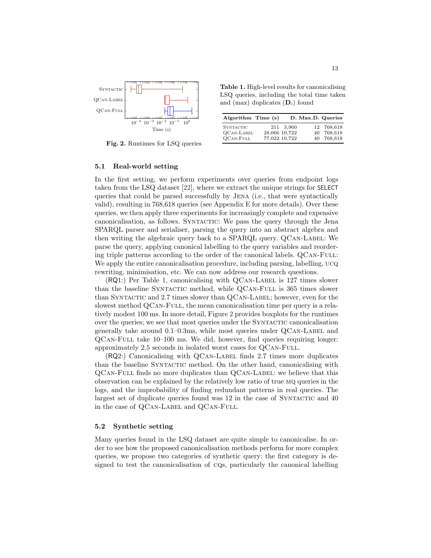

<span id="page-12-1"></span>Fig. 2. Runtimes for LSQ queries

<span id="page-12-0"></span>Table 1. High-level results for canonicalising LSQ queries, including the total time taken and (max) duplicates (D.) found

| Algorithm Time (s)                                        |                                             | D. Max.D. Queries                      |
|-----------------------------------------------------------|---------------------------------------------|----------------------------------------|
| <b>SYNTACTIC</b><br><b>QCAN-LABEL</b><br><b>QCAN-FULL</b> | 211 3.960<br>28,066 10,722<br>77,022 10,722 | 12 768,618<br>40 768,618<br>40 768,618 |

#### 5.1 Real-world setting

In the first setting, we perform experiments over queries from endpoint logs taken from the LSQ dataset [\[22\]](#page-15-18), where we extract the unique strings for SELECT queries that could be parsed successfully by Jena (i.e., that were syntactically valid), resulting in 768,618 queries (see Appendix [E](#page-22-0) for more details). Over these queries, we then apply three experiments for increasingly complete and expensive canonicalisation, as follows. Syntactic: We pass the query through the Jena SPARQL parser and serialiser, parsing the query into an abstract algebra and then writing the algebraic query back to a SPARQL query. QCAN-LABEL: We parse the query, applying canonical labelling to the query variables and reordering triple patterns according to the order of the canonical labels. QCAN-FULL: We apply the entire canonicalisation procedure, including parsing, labelling,  $UCQ$ rewriting, minimisation, etc. We can now address our research questions.

 $(RQ1:$ ) Per Table [1,](#page-12-0) canonicalising with QCAN-LABEL is 127 times slower than the baseline Syntactic method, while QCan-Full is 365 times slower than SYNTACTIC and 2.7 times slower than QCAN-LABEL; however, even for the slowest method QCAN-FULL, the mean canonicalisation time per query is a relatively modest 100 ms. In more detail, Figure [2](#page-12-1) provides boxplots for the runtimes over the queries; we see that most queries under the SYNTACTIC canonicalisation generally take around  $0.1-0.3$ ms, while most queries under  $QCAN-LABEL$  and QCan-Full take 10–100 ms. We did, however, find queries requiring longer: approximately 2.5 seconds in isolated worst cases for QCan-Full.

 $(RQ2:)$  Canonicalising with  $QCAN-LABEL$  finds 2.7 times more duplicates than the baseline SYNTACTIC method. On the other hand, canonicalising with QCan-Full finds no more duplicates than QCan-Label: we believe that this observation can be explained by the relatively low ratio of true mq queries in the logs, and the improbability of finding redundant patterns in real queries. The largest set of duplicate queries found was 12 in the case of SYNTACTIC and 40 in the case of QCAN-LABEL and QCAN-FULL.

#### 5.2 Synthetic setting

Many queries found in the LSQ dataset are quite simple to canonicalise. In order to see how the proposed canonicalisation methods perform for more complex queries, we propose two categories of synthetic query: the first category is designed to test the canonicalisation of cqs, particularly the canonical labelling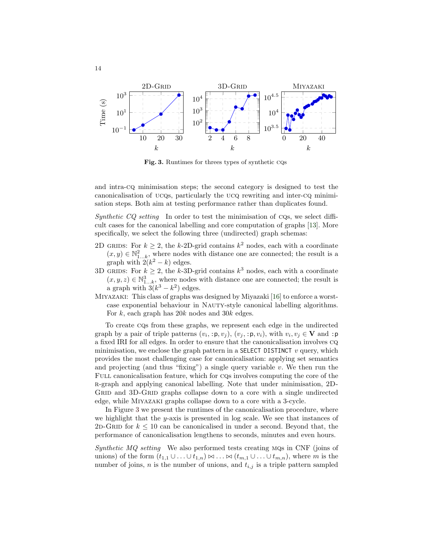

<span id="page-13-0"></span>Fig. 3. Runtimes for threes types of synthetic cqs

and intra-cq minimisation steps; the second category is designed to test the canonicalisation of ucqs, particularly the ucq rewriting and inter-cq minimisation steps. Both aim at testing performance rather than duplicates found.

Synthetic  $CQ$  setting In order to test the minimisation of  $CQs$ , we select difficult cases for the canonical labelling and core computation of graphs [\[13\]](#page-15-8). More specifically, we select the following three (undirected) graph schemas:

- 2D GRIDS: For  $k \geq 2$ , the k-2D-grid contains  $k^2$  nodes, each with a coordinate  $(x, y) \in \mathbb{N}_{1...k}^2$ , where nodes with distance one are connected; the result is a graph with  $2(k^2 - k)$  edges.
- 3D GRIDS: For  $k \geq 2$ , the k-3D-grid contains  $k^3$  nodes, each with a coordinate  $(x, y, z) \in \mathbb{N}_{1...k}^3$ , where nodes with distance one are connected; the result is a graph with  $3(k^3 - k^2)$  edges.
- Miyazaki: This class of graphs was designed by Miyazaki [\[16\]](#page-15-19) to enforce a worstcase exponential behaviour in Nauty-style canonical labelling algorithms. For  $k$ , each graph has  $20k$  nodes and  $30k$  edges.

To create cqs from these graphs, we represent each edge in the undirected graph by a pair of triple patterns  $(v_i, :p, v_j), (v_j, :p, v_i),$  with  $v_i, v_j \in V$  and :p a fixed IRI for all edges. In order to ensure that the canonicalisation involves cq minimisation, we enclose the graph pattern in a SELECT DISTINCT  $v$  query, which provides the most challenging case for canonicalisation: applying set semantics and projecting (and thus "fixing") a single query variable  $v$ . We then run the FULL canonicalisation feature, which for  $\cos$  involves computing the core of the r-graph and applying canonical labelling. Note that under minimisation, 2D-GRID and 3D-GRID graphs collapse down to a core with a single undirected edge, while Miyazaki graphs collapse down to a core with a 3-cycle.

In Figure [3](#page-13-0) we present the runtimes of the canonicalisation procedure, where we highlight that the y-axis is presented in log scale. We see that instances of 2D-GRID for  $k \leq 10$  can be canonicalised in under a second. Beyond that, the performance of canonicalisation lengthens to seconds, minutes and even hours.

Synthetic  $MQ$  setting We also performed tests creating  $MQs$  in CNF (joins of unions) of the form  $(t_{1,1} \cup ... \cup t_{1,n}) \bowtie ... \bowtie (t_{m,1} \cup ... \cup t_{m,n})$ , where m is the number of joins, *n* is the number of unions, and  $t_{i,j}$  is a triple pattern sampled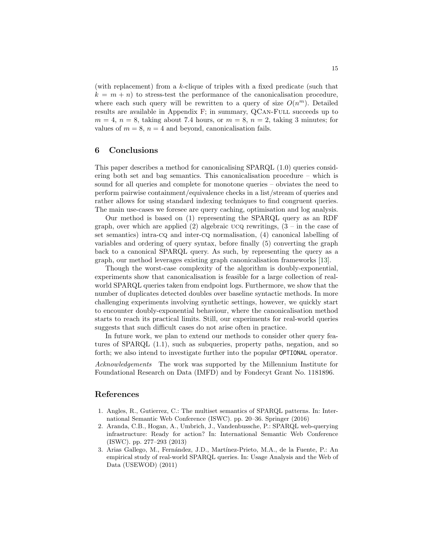(with replacement) from a k-clique of triples with a fixed predicate (such that  $k = m + n$ ) to stress-test the performance of the canonicalisation procedure, where each such query will be rewritten to a query of size  $O(n^m)$ . Detailed results are available in Appendix [F;](#page-23-0) in summary, QCAN-FULL succeeds up to  $m = 4$ ,  $n = 8$ , taking about 7.4 hours, or  $m = 8$ ,  $n = 2$ , taking 3 minutes; for values of  $m = 8$ ,  $n = 4$  and beyond, canonicalisation fails.

### 6 Conclusions

This paper describes a method for canonicalising SPARQL (1.0) queries considering both set and bag semantics. This canonicalisation procedure – which is sound for all queries and complete for monotone queries – obviates the need to perform pairwise containment/equivalence checks in a list/stream of queries and rather allows for using standard indexing techniques to find congruent queries. The main use-cases we foresee are query caching, optimisation and log analysis.

Our method is based on (1) representing the SPARQL query as an RDF graph, over which are applied (2) algebraic  $UCQ$  rewritings,  $(3 - in the case of)$ set semantics) intra-cq and inter-cq normalisation, (4) canonical labelling of variables and ordering of query syntax, before finally (5) converting the graph back to a canonical SPARQL query. As such, by representing the query as a graph, our method leverages existing graph canonicalisation frameworks [\[13\]](#page-15-8).

Though the worst-case complexity of the algorithm is doubly-exponential, experiments show that canonicalisation is feasible for a large collection of realworld SPARQL queries taken from endpoint logs. Furthermore, we show that the number of duplicates detected doubles over baseline syntactic methods. In more challenging experiments involving synthetic settings, however, we quickly start to encounter doubly-exponential behaviour, where the canonicalisation method starts to reach its practical limits. Still, our experiments for real-world queries suggests that such difficult cases do not arise often in practice.

In future work, we plan to extend our methods to consider other query features of SPARQL (1.1), such as subqueries, property paths, negation, and so forth; we also intend to investigate further into the popular OPTIONAL operator.

Acknowledgements The work was supported by the Millennium Institute for Foundational Research on Data (IMFD) and by Fondecyt Grant No. 1181896.

### References

- <span id="page-14-1"></span>1. Angles, R., Gutierrez, C.: The multiset semantics of SPARQL patterns. In: International Semantic Web Conference (ISWC). pp. 20–36. Springer (2016)
- <span id="page-14-0"></span>2. Aranda, C.B., Hogan, A., Umbrich, J., Vandenbussche, P.: SPARQL web-querying infrastructure: Ready for action? In: International Semantic Web Conference (ISWC). pp. 277–293 (2013)
- <span id="page-14-2"></span>3. Arias Gallego, M., Fern´andez, J.D., Mart´ınez-Prieto, M.A., de la Fuente, P.: An empirical study of real-world SPARQL queries. In: Usage Analysis and the Web of Data (USEWOD) (2011)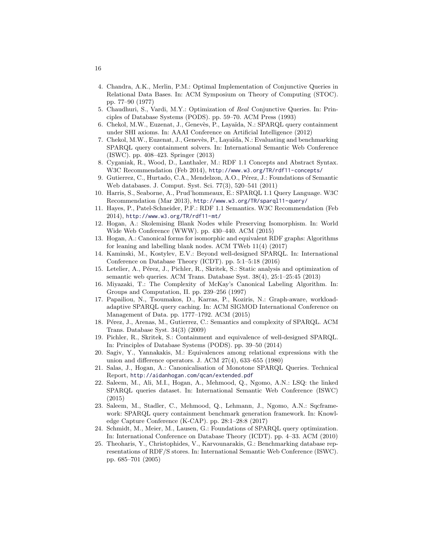- <span id="page-15-20"></span>4. Chandra, A.K., Merlin, P.M.: Optimal Implementation of Conjunctive Queries in Relational Data Bases. In: ACM Symposium on Theory of Computing (STOC). pp. 77–90 (1977)
- <span id="page-15-10"></span>5. Chaudhuri, S., Vardi, M.Y.: Optimization of Real Conjunctive Queries. In: Principles of Database Systems (PODS). pp. 59–70. ACM Press (1993)
- <span id="page-15-13"></span>6. Chekol, M.W., Euzenat, J., Genev`es, P., Laya¨ıda, N.: SPARQL query containment under SHI axioms. In: AAAI Conference on Artificial Intelligence (2012)
- <span id="page-15-16"></span>7. Chekol, M.W., Euzenat, J., Genevès, P., Layaïda, N.: Evaluating and benchmarking SPARQL query containment solvers. In: International Semantic Web Conference (ISWC). pp. 408–423. Springer (2013)
- <span id="page-15-5"></span>8. Cyganiak, R., Wood, D., Lanthaler, M.: RDF 1.1 Concepts and Abstract Syntax. W3C Recommendation (Feb 2014), <http://www.w3.org/TR/rdf11-concepts/>
- <span id="page-15-7"></span>9. Gutierrez, C., Hurtado, C.A., Mendelzon, A.O., Pérez, J.: Foundations of Semantic Web databases. J. Comput. Syst. Sci. 77(3), 520–541 (2011)
- <span id="page-15-9"></span>10. Harris, S., Seaborne, A., Prud'hommeaux, E.: SPARQL 1.1 Query Language. W3C Recommendation (Mar 2013), <http://www.w3.org/TR/sparql11-query/>
- <span id="page-15-4"></span>11. Hayes, P., Patel-Schneider, P.F.: RDF 1.1 Semantics. W3C Recommendation (Feb 2014), <http://www.w3.org/TR/rdf11-mt/>
- <span id="page-15-6"></span>12. Hogan, A.: Skolemising Blank Nodes while Preserving Isomorphism. In: World Wide Web Conference (WWW). pp. 430–440. ACM (2015)
- <span id="page-15-8"></span>13. Hogan, A.: Canonical forms for isomorphic and equivalent RDF graphs: Algorithms for leaning and labelling blank nodes. ACM TWeb 11(4) (2017)
- <span id="page-15-15"></span>14. Kaminski, M., Kostylev, E.V.: Beyond well-designed SPARQL. In: International Conference on Database Theory (ICDT). pp. 5:1–5:18 (2016)
- <span id="page-15-14"></span>15. Letelier, A., Pérez, J., Pichler, R., Skritek, S.: Static analysis and optimization of semantic web queries. ACM Trans. Database Syst. 38(4), 25:1–25:45 (2013)
- <span id="page-15-19"></span>16. Miyazaki, T.: The Complexity of McKay's Canonical Labeling Algorithm. In: Groups and Computation, II. pp. 239–256 (1997)
- <span id="page-15-1"></span>17. Papailiou, N., Tsoumakos, D., Karras, P., Koziris, N.: Graph-aware, workloadadaptive SPARQL query caching. In: ACM SIGMOD International Conference on Management of Data. pp. 1777–1792. ACM (2015)
- <span id="page-15-0"></span>18. Pérez, J., Arenas, M., Gutierrez, C.: Semantics and complexity of SPARQL. ACM Trans. Database Syst. 34(3) (2009)
- <span id="page-15-2"></span>19. Pichler, R., Skritek, S.: Containment and equivalence of well-designed SPARQL. In: Principles of Database Systems (PODS). pp. 39–50 (2014)
- <span id="page-15-3"></span>20. Sagiv, Y., Yannakakis, M.: Equivalences among relational expressions with the union and difference operators. J. ACM 27(4), 633–655 (1980)
- 21. Salas, J., Hogan, A.: Canonicalisation of Monotone SPARQL Queries. Technical Report, <http://aidanhogan.com/qcan/extended.pdf>
- <span id="page-15-18"></span>22. Saleem, M., Ali, M.I., Hogan, A., Mehmood, Q., Ngomo, A.N.: LSQ: the linked SPARQL queries dataset. In: International Semantic Web Conference (ISWC) (2015)
- <span id="page-15-17"></span>23. Saleem, M., Stadler, C., Mehmood, Q., Lehmann, J., Ngomo, A.N.: Sqcframework: SPARQL query containment benchmark generation framework. In: Knowledge Capture Conference (K-CAP). pp. 28:1–28:8 (2017)
- <span id="page-15-12"></span>24. Schmidt, M., Meier, M., Lausen, G.: Foundations of SPARQL query optimization. In: International Conference on Database Theory (ICDT). pp. 4–33. ACM (2010)
- <span id="page-15-11"></span>25. Theoharis, Y., Christophides, V., Karvounarakis, G.: Benchmarking database representations of RDF/S stores. In: International Semantic Web Conference (ISWC). pp. 685–701 (2005)

16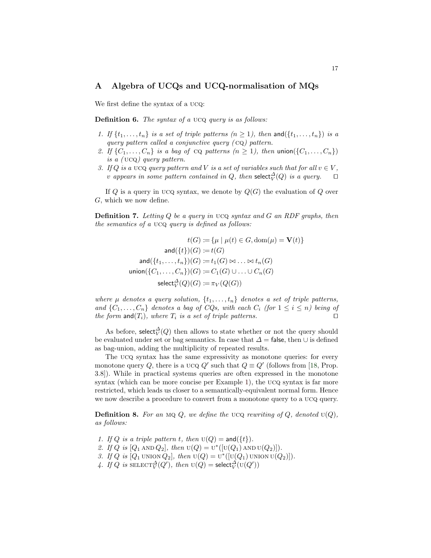### <span id="page-16-0"></span>A Algebra of UCQs and UCQ-normalisation of MQs

We first define the syntax of a ucq:

Definition 6. The syntax of a UCQ query is as follows:

- 1. If  $\{t_1, \ldots, t_n\}$  is a set of triple patterns  $(n \geq 1)$ , then and  $(\{t_1, \ldots, t_n\})$  is a query pattern called a conjunctive query  $(cq)$  pattern.
- 2. If  $\{C_1,\ldots,C_n\}$  is a bag of  $CQ$  patterns  $(n \geq 1)$ , then union $(\{C_1,\ldots,C_n\})$ is a ( ucq) query pattern.
- 3. If Q is a UCQ query pattern and V is a set of variables such that for all  $v \in V$ , v appears in some pattern contained in Q, then select $_{V}^{\Delta}(Q)$  is a query.  $\square$

If Q is a query in UCQ syntax, we denote by  $Q(G)$  the evaluation of Q over G, which we now define.

**Definition 7.** Letting  $Q$  be a query in  $UCQ$  syntax and  $G$  an RDF graphs, then the semantics of a ucq query is defined as follows:

$$
t(G) := \{ \mu \mid \mu(t) \in G, \text{dom}(\mu) = \mathbf{V}(t) \}
$$

$$
\text{and}(\{t\})(G) := t(G)
$$

$$
\text{and}(\{t_1, \ldots, t_n\})(G) := t_1(G) \bowtie \ldots \bowtie t_n(G)
$$

$$
\text{union}(\{C_1, \ldots, C_n\})(G) := C_1(G) \cup \ldots \cup C_n(G)
$$

$$
\text{select}_V^{\Delta}(Q)(G) := \pi_V(Q(G))
$$

where  $\mu$  denotes a query solution,  $\{t_1, \ldots, t_n\}$  denotes a set of triple patterns, and  $\{C_1, \ldots, C_n\}$  denotes a bag of CQs, with each  $C_i$  (for  $1 \leq i \leq n$ ) being of the form and  $(T_i)$ , where  $T_i$  is a set of triple patterns.

As before, select $_{V}^{\Delta}(Q)$  then allows to state whether or not the query should be evaluated under set or bag semantics. In case that  $\Delta = \mathsf{false}$ , then  $\cup$  is defined as bag-union, adding the multiplicity of repeated results.

The ucq syntax has the same expressivity as monotone queries: for every monotone query Q, there is a UCQ Q' such that  $Q \equiv Q'$  (follows from [\[18,](#page-15-0) Prop. 3.8]). While in practical systems queries are often expressed in the monotone syntax (which can be more concise per Example [1\)](#page-1-0), the UCQ syntax is far more restricted, which leads us closer to a semantically-equivalent normal form. Hence we now describe a procedure to convert from a monotone query to a ucq query.

<span id="page-16-1"></span>**Definition 8.** For an MQ Q, we define the UCQ rewriting of Q, denoted  $U(Q)$ , as follows:

- 1. If Q is a triple pattern t, then  $U(Q) = \text{and}(\{t\})$ .
- 2. If Q is  $[Q_1 \text{ AND } Q_2]$ , then  $U(Q) = U^*([U(Q_1) \text{ AND } U(Q_2)]$ .
- 3. If Q is  $[Q_1$  union  $Q_2]$ , then  $U(Q) = U^*([U(Q_1) \cup N \cup U(Q_2)])$ .
- 4. If Q is  $\text{SELECT}_{V}^{\Delta}(Q')$ , then  $U(Q) = \text{select}_{V}^{\Delta}(U(Q'))$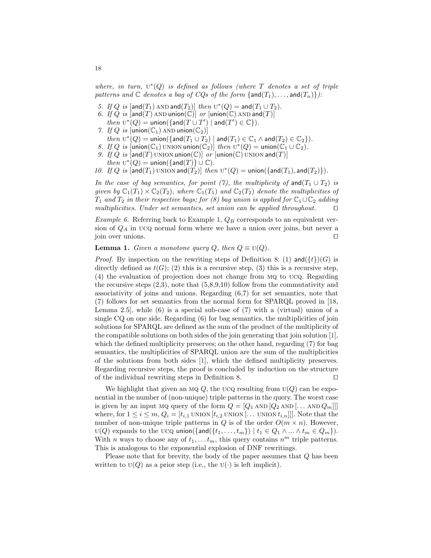where, in turn,  $U^*(Q)$  is defined as follows (where T denotes a set of triple patterns and  $\mathbb C$  denotes a bag of CQs of the form  $\{\text{and}(T_1), \ldots, \text{and}(T_n)\}\$ :

- 5. If Q is  $[and(T_1)$  AND and  $(T_2)]$  then  $U^*(Q) = and(T_1 \cup T_2)$ .
- 6. If Q is  $[and(T)$  AND union $(\mathbb{C})$  or  $[union(\mathbb{C})$  AND and  $(T)]$ then  $U^*(Q) = \text{union}(\{\text{and}(T \cup T') \mid \text{and}(T') \in \mathbb{C}\}).$
- 7. If Q is  $[\text{union}(\mathbb{C}_1)$  AND union $(\mathbb{C}_2)]$
- $then \, \mathrm{U}^*(Q) = \mathsf{union}(\{\mathsf{and}(T_1 \cup T_2) \mid \mathsf{and}(T_1) \in \mathbb{C}_1 \land \mathsf{and}(T_2) \in \mathbb{C}_2\}).$
- 8. If Q is  $[\text{union}(\mathbb{C}_1) \text{ union} \text{union}(\mathbb{C}_2)]$  then  $\mathrm{U}^*(Q) = \text{union}(\mathbb{C}_1 \cup \mathbb{C}_2)$ . 9. If Q is  $[and(T)$  UNION union $(\mathbb{C})$  or  $[union(\mathbb{C})$  UNION and $(T)]$ then  $U^*(Q) = \text{union}(\{\text{and}(T)\} \cup \mathbb{C}).$
- 10. If Q is  $[and(T_1)$  UNION and $(T_2)]$  then  $U^*(Q) =$  union( $\{and(T_1), and(T_2)\}$ ).

In the case of bag semantics, for point (7), the multiplicity of and( $T_1 \cup T_2$ ) is given by  $\mathbb{C}_1(T_1) \times \mathbb{C}_2(T_2)$ , where  $\mathbb{C}_1(T_1)$  and  $\mathbb{C}_2(T_2)$  denote the multiplicities of  $T_1$  and  $T_2$  in their respective bags; for (8) bag union is applied for  $\mathbb{C}_1 \cup \mathbb{C}_2$  adding multiplicities. Under set semantics, set union can be applied throughout.  $\square$ 

Example 6. Referring back to Example [1,](#page-1-0)  $Q_B$  corresponds to an equivalent version of  $Q_A$  in UCQ normal form where we have a union over joins, but never a  $\Box$  join over unions.  $\Box$ 

<span id="page-17-0"></span>**Lemma 1.** Given a monotone query Q, then  $Q \equiv U(Q)$ .

*Proof.* By inspection on the rewriting steps of Definition [8:](#page-16-1) (1) and  $({t})(G)$  is directly defined as  $t(G)$ ; (2) this is a recursive step, (3) this is a recursive step, (4) the evaluation of projection does not change from mq to ucq. Regarding the recursive steps  $(2,3)$ , note that  $(5,8,9,10)$  follow from the commutativity and associativity of joins and unions. Regarding (6,7) for set semantics, note that (7) follows for set semantics from the normal form for SPARQL proved in [\[18,](#page-15-0) Lemma 2.5, while  $(6)$  is a special sub-case of  $(7)$  with a (virtual) union of a single CQ on one side. Regarding (6) for bag semantics, the multiplicities of join solutions for SPARQL are defined as the sum of the product of the multiplicity of the compatible solutions on both sides of the join generating that join solution [\[1\]](#page-14-1), which the defined multiplicity preserves; on the other hand, regarding (7) for bag semantics, the multiplicities of SPARQL union are the sum of the multiplicities of the solutions from both sides [\[1\]](#page-14-1), which the defined multiplicity preserves. Regarding recursive steps, the proof is concluded by induction on the structure of the individual rewriting steps in Definition [8.](#page-16-1)  $\Box$ 

We highlight that given an MQ Q, the UCQ resulting from  $U(Q)$  can be exponential in the number of (non-unique) triple patterns in the query. The worst case is given by an input MQ query of the form  $Q = [Q_1 \text{ AND } [Q_2 \text{ AND } [\dots \text{ AND } Q_m]]]$ where, for  $1 \leq i \leq m$ ,  $Q_i = [t_{i,1}$  UNION  $[t_{i,2}$  UNION  $[\dots$  UNION  $t_{i,n}]]$ . Note that the number of non-unique triple patterns in Q is of the order  $O(m \times n)$ . However,  $U(Q)$  expands to the UCQ union({and({ $t_1, \ldots, t_m$ }) |  $t_1 \in Q_1 \wedge \ldots \wedge t_m \in Q_m$ }). With *n* ways to choose any of  $t_1, \ldots, t_m$ , this query contains  $n^m$  triple patterns. This is analogous to the exponential explosion of DNF rewritings.

Please note that for brevity, the body of the paper assumes that Q has been written to  $U(Q)$  as a prior step (i.e., the  $U(\cdot)$  is left implicit).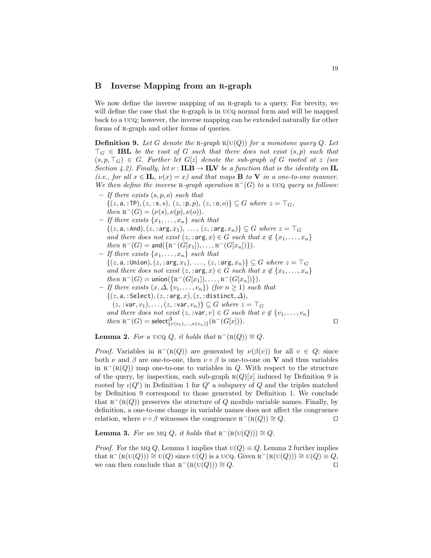#### <span id="page-18-0"></span>B Inverse Mapping from an R-graph

We now define the inverse mapping of an R-graph to a query. For brevity, we will define the case that the R-graph is in UCQ normal form and will be mapped back to a ucq; however, the inverse mapping can be extended naturally for other forms of R-graph and other forms of queries.

<span id="page-18-1"></span>**Definition 9.** Let G denote the R-graph  $R(U(Q))$  for a monotone query Q. Let  $\top_G \in \mathbf{IBL}$  be the root of G such that there does not exist  $(s, p)$  such that  $(s, p, \top_G) \in G$ . Further let  $G[z]$  denote the sub-graph of G rooted at z (see Section [4.2\)](#page-7-0). Finally, let  $\nu$ : **ILB**  $\rightarrow$  **ILV** be a function that is the identity on **IL** (i.e., for all  $x \in \mathbf{IL}$ ,  $\nu(x) = x$ ) and that maps **B** to **V** in a one-to-one manner. We then define the inverse R-graph operation  $R^-(G)$  to a UCQ query as follows:

- $-$  If there exists  $(s, p, o)$  such that  $\{(z, a, : \text{TP}), (z, :s, s), (z, :p, p), (z, :o, o)\} \subseteq G$  where  $z = \top_G$ , then  $R^-(G) = (\nu(s), \nu(p), \nu(o)).$
- If there exists  $\{x_1, \ldots, x_n\}$  such that  $\{(z, \mathsf{a}, : \mathsf{And}), (z, : \mathsf{arg}, x_1), \ldots, (z, : \mathsf{arg}, x_n)\} \subseteq G$  where  $z = \top_G$ and there does not exist  $(z, \text{arg}, x) \in G$  such that  $x \notin \{x_1, \ldots, x_n\}$ then  $R^-(G) = \text{and} (\{ R^-(G[x_1]), \ldots, R^-(G[x_n]) \}).$
- If there exists  $\{x_1, \ldots, x_n\}$  such that  $\{(z, \texttt{a}, : \texttt{Union}), (z, : \texttt{arg}, x_1), \ldots, (z, : \texttt{arg}, x_n)\} \subseteq G$  where  $z = \top_G$ and there does not exist  $(z, \text{arg}, x) \in G$  such that  $x \notin \{x_1, \ldots, x_n\}$ then  $R^-(G) = \text{union}(\{R^-(G[x_1]), \ldots, R^-(G[x_n])\})$ .
- $-$  If there exists  $(x, \Delta, \{v_1, \ldots, v_n\})$  (for  $n \geq 1$ ) such that  $\{(z, a, : \text{Select}), (z, : \text{arg}, x), (z, : \text{distinct}, \Delta)\},\$  $(z, :var, v_1), \ldots, (z, :var, v_n) \} \subseteq G$  where  $z = \top_G$ and there does not exist  $(z, : \text{var}, v) \in G$  such that  $v \notin \{v_1, \ldots, v_n\}$ then  $R^-(G) = \text{select}_{\{v(v_1),...,v(v_n)\}}^{\Delta} (R^-(G[x])).$

<span id="page-18-2"></span>**Lemma 2.** For a UCQ Q, it holds that  $R^{-}(R(Q)) \cong Q$ .

*Proof.* Variables in  $R^-(R(Q))$  are generated by  $\nu(\beta(v))$  for all  $v \in Q$ ; since both  $\nu$  and  $\beta$  are one-to-one, then  $\nu \circ \beta$  is one-to-one on **V** and thus variables in  $R^{-}(R(Q))$  map one-to-one to variables in Q. With respect to the structure of the query, by inspection, each sub-graph  $R(Q)[x]$  induced by Definition [9](#page-18-1) is rooted by  $\iota(Q')$  in Definition [1](#page-6-0) for  $Q'$  a subquery of Q and the triples matched by Definition [9](#page-18-1) correspond to those generated by Definition [1.](#page-6-0) We conclude that  $R^{-}(R(Q))$  preserves the structure of Q modulo variable names. Finally, by definition, a one-to-one change in variable names does not affect the congruence relation, where  $\nu \circ \beta$  witnesses the congruence  $R^{-}(R(Q)) \cong Q$ .

<span id="page-18-3"></span>**Lemma 3.** For an MQ Q, it holds that  $R^{-}(R(U(Q))) \cong Q$ .

*Proof.* For the MQ Q, Lemma [1](#page-17-0) implies that  $U(Q) \equiv Q$ . Lemma [2](#page-18-2) further implies that  $R^-(R(U(Q))) \cong U(Q)$  since  $U(Q)$  is a UCQ. Given  $R^-(R(U(Q))) \cong U(Q) \equiv Q$ , we can then conclude that  $R^{-}(R(U(Q))) \cong Q$ .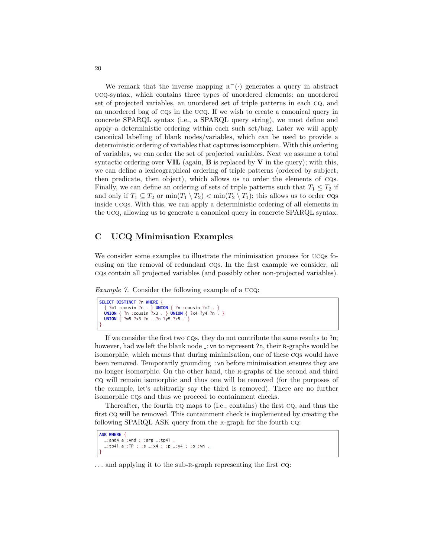We remark that the inverse mapping  $R^{-}(\cdot)$  generates a query in abstract ucq-syntax, which contains three types of unordered elements: an unordered set of projected variables, an unordered set of triple patterns in each cq, and an unordered bag of cqs in the ucq. If we wish to create a canonical query in concrete SPARQL syntax (i.e., a SPARQL query string), we must define and apply a deterministic ordering within each such set/bag. Later we will apply canonical labelling of blank nodes/variables, which can be used to provide a deterministic ordering of variables that captures isomorphism. With this ordering of variables, we can order the set of projected variables. Next we assume a total syntactic ordering over  $VIL$  (again,  $B$  is replaced by  $V$  in the query); with this, we can define a lexicographical ordering of triple patterns (ordered by subject, then predicate, then object), which allows us to order the elements of cqs. Finally, we can define an ordering of sets of triple patterns such that  $T_1 \leq T_2$  if and only if  $T_1 \subseteq T_2$  or  $\min(T_1 \setminus T_2) < \min(T_2 \setminus T_1)$ ; this allows us to order CQs inside ucqs. With this, we can apply a deterministic ordering of all elements in the ucq, allowing us to generate a canonical query in concrete SPARQL syntax.

### C UCQ Minimisation Examples

We consider some examples to illustrate the minimisation process for ucqs focusing on the removal of redundant cqs. In the first example we consider, all cqs contain all projected variables (and possibly other non-projected variables).

Example 7. Consider the following example of a ucq:

```
SELECT DISTINCT ?n WHERE {
  { ?m1 :cousin ?n . } UNION { ?n :cousin ?m2 . }
 UNION { ?n :cousin ?x3 . } UNION { ?x4 ?y4 ?n . }
 UNION { ?w5 ?x5 ?n . ?n ?y5 ?z5 . }
}
```
If we consider the first two cqs, they do not contribute the same results to ?n; however, had we left the blank node : vn to represent ?n, their R-graphs would be isomorphic, which means that during minimisation, one of these cqs would have been removed. Temporarily grounding :vn before minimisation ensures they are no longer isomorphic. On the other hand, the r-graphs of the second and third cq will remain isomorphic and thus one will be removed (for the purposes of the example, let's arbitrarily say the third is removed). There are no further isomorphic cqs and thus we proceed to containment checks.

Thereafter, the fourth cq maps to (i.e., contains) the first cq, and thus the first cq will be removed. This containment check is implemented by creating the following SPARQL ASK query from the R-graph for the fourth CQ:

```
ASK WHERE {
 \_:and4 a :And ; :arg \_:tp41
  _:tp41 a :TP ; :s _:x4 ; :p _:y4 ; :o :vn .
}
```
<sup>...</sup> and applying it to the sub-R-graph representing the first CQ: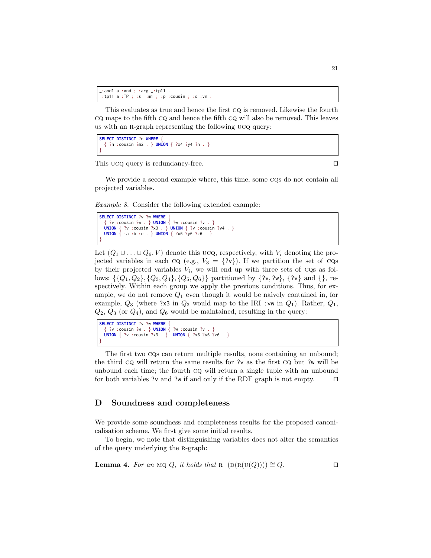```
_:and1 a :And ; :arg _:tp11 .
\_:tp11 a :TP ; :s \_::m1 ; :p :cousin ; :o :vn
```
This evaluates as true and hence the first cq is removed. Likewise the fourth cq maps to the fifth cq and hence the fifth cq will also be removed. This leaves us with an R-graph representing the following UCQ query:

```
SELECT DISTINCT ?n WHERE {
  { ?n :cousin ?m2 . } UNION { ?x4 ?y4 ?n . }
}
```
This ucq query is redundancy-free.  $\Box$ 

We provide a second example where, this time, some CQs do not contain all projected variables.

Example 8. Consider the following extended example:

```
SELECT DISTINCT ?v ?w WHERE {
   { ?v :cousin ?w . } UNION { ?w :cousin ?v . }
 UNION { ?v :cousin ?x3 . } UNION { ?v :cousin ?y4 . }
 UNION { :a :b :c . } UNION { ?x6 ?y6 ?z6 . }
}
```
Let  $(Q_1 \cup \ldots \cup Q_6, V)$  denote this ucq, respectively, with  $V_i$  denoting the projected variables in each CQ (e.g.,  $V_3 = \{?v\}$ ). If we partition the set of CQs by their projected variables  $V_i$ , we will end up with three sets of CQs as follows:  $\{\{Q_1, Q_2\}, \{Q_3, Q_4\}, \{Q_5, Q_6\}\}\$  partitioned by  $\{?v, ?w\}, \{?v\}$  and  $\{\},\$ respectively. Within each group we apply the previous conditions. Thus, for example, we do not remove  $Q_1$  even though it would be naively contained in, for example,  $Q_3$  (where ?x3 in  $Q_3$  would map to the IRI :vw in  $Q_1$ ). Rather,  $Q_1$ ,  $Q_2$ ,  $Q_3$  (or  $Q_4$ ), and  $Q_6$  would be maintained, resulting in the query:

**SELECT DISTINCT** ?v ?w **WHERE** { { ?v :cousin ?w . } **UNION** { ?w :cousin ?v . } **UNION** { ?v :cousin ?x3 . } **UNION** { ?x6 ?y6 ?z6 . } }

The first two cqs can return multiple results, none containing an unbound; the third cq will return the same results for ?v as the first cq but ?w will be unbound each time; the fourth cq will return a single tuple with an unbound for both variables ?v and ?w if and only if the RDF graph is not empty.  $\Box$ 

### <span id="page-20-0"></span>D Soundness and completeness

We provide some soundness and completeness results for the proposed canonicalisation scheme. We first give some initial results.

To begin, we note that distinguishing variables does not alter the semantics of the query underlying the r-graph:

<span id="page-20-1"></span>**Lemma 4.** For an MQ Q, it holds that 
$$
R^{-}(D(R(U(Q)))) \cong Q
$$
.  $\Box$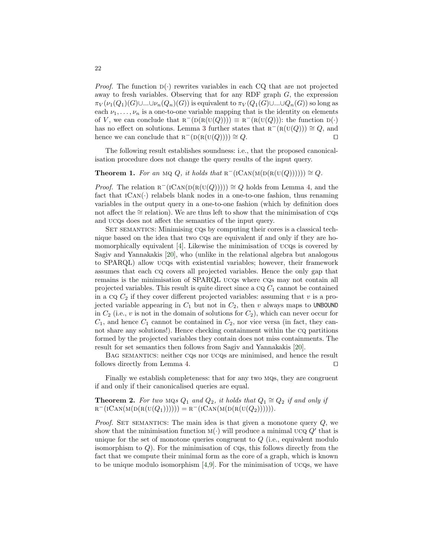*Proof.* The function  $D(\cdot)$  rewrites variables in each CQ that are not projected away to fresh variables. Observing that for any RDF graph  $G$ , the expression  $\pi_V(\nu_1(Q_1)(G)\cup...\cup\nu_n(Q_n)(G))$  is equivalent to  $\pi_V(Q_1(G)\cup...\cup Q_n(G))$  so long as each  $\nu_1, \ldots, \nu_n$  is a one-to-one variable mapping that is the identity on elements of V, we can conclude that  $R^{-}(D(R(U(Q)))) \equiv R^{-}(R(U(Q)))$ : the function  $D(\cdot)$ has no effect on solutions. Lemma [3](#page-18-3) further states that  $R^-(R(U(Q))) \cong Q$ , and hence we can conclude that  $R^{-}(D(R(U(Q)))) \cong Q$ .

The following result establishes soundness: i.e., that the proposed canonicalisation procedure does not change the query results of the input query.

## <span id="page-21-0"></span>**Theorem 1.** For an MQ Q, it holds that  $R^{-}(\text{ICAN}(M(D(R(U(Q))))))) \cong Q$ .

*Proof.* The relation  $R^{-}(ICAN(D(R(U(Q)))) \cong Q$  holds from Lemma [4,](#page-20-1) and the fact that  $ICAN(\cdot)$  relabels blank nodes in a one-to-one fashion, thus renaming variables in the output query in a one-to-one fashion (which by definition does not affect the  $\cong$  relation). We are thus left to show that the minimisation of CQs and ucqs does not affect the semantics of the input query.

SET SEMANTICS: Minimising CQs by computing their cores is a classical technique based on the idea that two cqs are equivalent if and only if they are homomorphically equivalent [\[4\]](#page-15-20). Likewise the minimisation of ucqs is covered by Sagiv and Yannakakis [\[20\]](#page-15-3), who (unlike in the relational algebra but analogous to SPARQL) allow ucqs with existential variables; however, their framework assumes that each cq covers all projected variables. Hence the only gap that remains is the minimisation of SPARQL ucqs where cqs may not contain all projected variables. This result is quite direct since a  $C_1$  cannot be contained in a cq  $C_2$  if they cover different projected variables: assuming that v is a projected variable appearing in  $C_1$  but not in  $C_2$ , then v always maps to UNBOUND in  $C_2$  (i.e., v is not in the domain of solutions for  $C_2$ ), which can never occur for  $C_1$ , and hence  $C_1$  cannot be contained in  $C_2$ , nor vice versa (in fact, they cannot share any solutions!). Hence checking containment within the cq partitions formed by the projected variables they contain does not miss containments. The result for set semantics then follows from Sagiv and Yannakakis [\[20\]](#page-15-3).

Bag semantics: neither cqs nor ucqs are minimised, and hence the result follows directly from Lemma [4.](#page-20-1)  $\Box$ 

Finally we establish completeness: that for any two mqs, they are congruent if and only if their canonicalised queries are equal.

**Theorem 2.** For two MQs  $Q_1$  and  $Q_2$ , it holds that  $Q_1 \cong Q_2$  if and only if  $R^-(ICAN(M(D(R(U(Q_1)))))) = R^-(ICAN(M(D(R(U(Q_2)))))).$ 

*Proof.* SET SEMANTICS: The main idea is that given a monotone query  $Q$ , we show that the minimisation function  $M(\cdot)$  will produce a minimal UCQ  $Q'$  that is unique for the set of monotone queries congruent to  $Q$  (i.e., equivalent modulo isomorphism to  $Q$ ). For the minimisation of  $CQs$ , this follows directly from the fact that we compute their minimal form as the core of a graph, which is known to be unique modulo isomorphism  $[4,9]$  $[4,9]$ . For the minimisation of ucqs, we have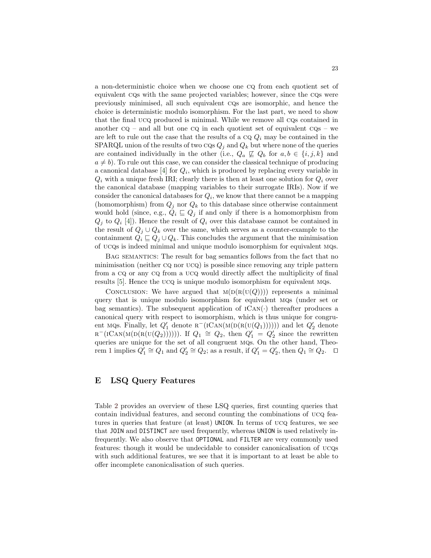a non-deterministic choice when we choose one cq from each quotient set of equivalent cqs with the same projected variables; however, since the cqs were previously minimised, all such equivalent cqs are isomorphic, and hence the choice is deterministic modulo isomorphism. For the last part, we need to show that the final ucq produced is minimal. While we remove all cqs contained in another  $CQ$  – and all but one  $CQ$  in each quotient set of equivalent  $CQs$  – we are left to rule out the case that the results of a  $CQ_i$  may be contained in the SPARQL union of the results of two  $\cos Q_i$  and  $Q_k$  but where none of the queries are contained individually in the other (i.e.,  $Q_a \not\sqsubseteq Q_b$  for  $a, b \in \{i, j, k\}$  and  $a \neq b$ . To rule out this case, we can consider the classical technique of producing a canonical database [\[4\]](#page-15-20) for  $Q_i$ , which is produced by replacing every variable in  $Q_i$  with a unique fresh IRI; clearly there is then at least one solution for  $Q_i$  over the canonical database (mapping variables to their surrogate IRIs). Now if we consider the canonical databases for  $Q_i$ , we know that there cannot be a mapping (homomorphism) from  $Q_j$  nor  $Q_k$  to this database since otherwise containment would hold (since, e.g.,  $Q_i \subseteq Q_j$  if and only if there is a homomorphism from  $Q_j$  to  $Q_i$  [\[4\]](#page-15-20)). Hence the result of  $Q_i$  over this database cannot be contained in the result of  $Q_j \cup Q_k$  over the same, which serves as a counter-example to the containment  $Q_i \sqsubseteq Q_j \cup Q_k$ . This concludes the argument that the minimisation of ucqs is indeed minimal and unique modulo isomorphism for equivalent mqs.

Bag semantics: The result for bag semantics follows from the fact that no minimisation (neither cq nor ucq) is possible since removing any triple pattern from a cq or any cq from a ucq would directly affect the multiplicity of final results [\[5\]](#page-15-10). Hence the ucq is unique modulo isomorphism for equivalent mqs.

CONCLUSION: We have argued that  $M(D(R(U(Q))))$  represents a minimal query that is unique modulo isomorphism for equivalent mqs (under set or bag semantics). The subsequent application of  $ICAN(\cdot)$  thereafter produces a canonical query with respect to isomorphism, which is thus unique for congruent MQs. Finally, let  $Q'_1$  denote  $R^{-}(ICAN(M(D(R(U(Q_1))))))$  and let  $Q'_2$  denote  $R^{-}(\text{ICAN}(M(\text{D}(R(\text{U}(Q_2))))))$ . If  $Q_1 \cong Q_2$ , then  $Q'_1 = Q'_2$  since the rewritten queries are unique for the set of all congruent mqs. On the other hand, Theo-rem [1](#page-21-0) implies  $Q'_1 \cong Q_1$  and  $Q'_2 \cong Q_2$ ; as a result, if  $Q'_1 = Q'_2$ , then  $Q_1 \cong Q_2$ .  $\Box$ 

### <span id="page-22-0"></span>E LSQ Query Features

Table [2](#page-23-1) provides an overview of these LSQ queries, first counting queries that contain individual features, and second counting the combinations of ucq features in queries that feature (at least) UNION. In terms of ucq features, we see that JOIN and DISTINCT are used frequently, whereas UNION is used relatively infrequently. We also observe that OPTIONAL and FILTER are very commonly used features: though it would be undecidable to consider canonicalisation of ucqs with such additional features, we see that it is important to at least be able to offer incomplete canonicalisation of such queries.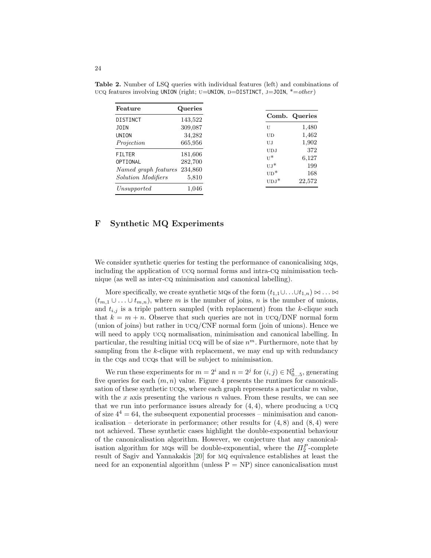<span id="page-23-1"></span>

| Feature              | Queries |               |        |
|----------------------|---------|---------------|--------|
| DISTINCT             | 143,522 | Comb. Queries |        |
| JOIN                 | 309,087 | U             | 1,480  |
| UNION                | 34,282  | UD            | 1,462  |
| Projection           | 665,956 | UJ            | 1,902  |
| <b>FILTER</b>        | 181,606 | <b>UDJ</b>    | 372    |
| OPTIONAL             | 282,700 | $U^*$         | 6,127  |
| Named graph features | 234,860 | $UL^*$        | 199    |
|                      |         | $UD^*$        | 168    |
| Solution Modifiers   | 5,810   | $UDJ^*$       | 22,572 |
| Unsupported          | 1,046   |               |        |

Table 2. Number of LSQ queries with individual features (left) and combinations of ucq features involving UNION (right; U=UNION, D=DISTINCT, J=JOIN,  $*=other$ )

### <span id="page-23-0"></span>F Synthetic MQ Experiments

We consider synthetic queries for testing the performance of canonicalising MQs, including the application of ucq normal forms and intra-cq minimisation technique (as well as inter-cq minimisation and canonical labelling).

More specifically, we create synthetic MQs of the form  $(t_{1,1}\cup \ldots \cup t_{1,n}) \bowtie \ldots \bowtie$  $(t_{m,1} \cup \ldots \cup t_{m,n})$ , where m is the number of joins, n is the number of unions, and  $t_{i,j}$  is a triple pattern sampled (with replacement) from the k-clique such that  $k = m + n$ . Observe that such queries are not in  $UCQ/DNF$  normal form (union of joins) but rather in ucq/CNF normal form (join of unions). Hence we will need to apply UCQ normalisation, minimisation and canonical labelling. In particular, the resulting initial UCQ will be of size  $n^m$ . Furthermore, note that by sampling from the  $k$ -clique with replacement, we may end up with redundancy in the cqs and ucqs that will be subject to minimisation.

We run these experiments for  $m = 2^i$  and  $n = 2^j$  for  $(i, j) \in \mathbb{N}_{0...5}^2$ , generating five queries for each  $(m, n)$  value. Figure [4](#page-24-0) presents the runtimes for canonicalisation of these synthetic ucqs, where each graph represents a particular  $m$  value, with the x axis presenting the various  $n$  values. From these results, we can see that we run into performance issues already for  $(4, 4)$ , where producing a UCQ of size  $4^4 = 64$ , the subsequent exponential processes – minimisation and canonicalisation – deteriorate in performance; other results for  $(4, 8)$  and  $(8, 4)$  were not achieved. These synthetic cases highlight the double-exponential behaviour of the canonicalisation algorithm. However, we conjecture that any canonicalisation algorithm for MQs will be double-exponential, where the  $\Pi_2^P$ -complete result of Sagiv and Yannakakis [\[20\]](#page-15-3) for mq equivalence establishes at least the need for an exponential algorithm (unless  $P = NP$ ) since canonicalisation must